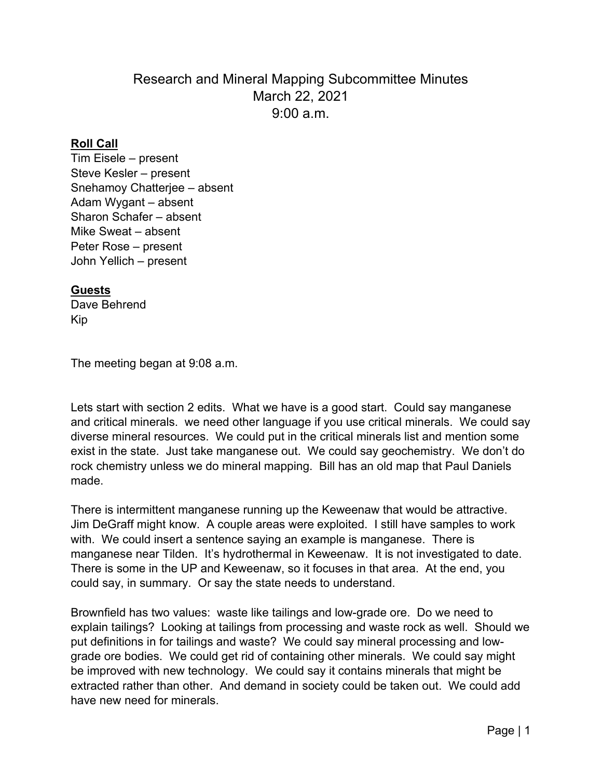# Research and Mineral Mapping Subcommittee Minutes March 22, 2021 9:00 a.m.

#### **Roll Call**

Tim Eisele – present Steve Kesler – present Snehamoy Chatterjee – absent Adam Wygant – absent Sharon Schafer – absent Mike Sweat – absent Peter Rose – present John Yellich – present

### **Guests**

Dave Behrend Kip

The meeting began at 9:08 a.m.

Lets start with section 2 edits. What we have is a good start. Could say manganese and critical minerals. we need other language if you use critical minerals. We could say diverse mineral resources. We could put in the critical minerals list and mention some exist in the state. Just take manganese out. We could say geochemistry. We don't do rock chemistry unless we do mineral mapping. Bill has an old map that Paul Daniels made.

There is intermittent manganese running up the Keweenaw that would be attractive. Jim DeGraff might know. A couple areas were exploited. I still have samples to work with. We could insert a sentence saying an example is manganese. There is manganese near Tilden. It's hydrothermal in Keweenaw. It is not investigated to date. There is some in the UP and Keweenaw, so it focuses in that area. At the end, you could say, in summary. Or say the state needs to understand.

Brownfield has two values: waste like tailings and low-grade ore. Do we need to explain tailings? Looking at tailings from processing and waste rock as well. Should we put definitions in for tailings and waste? We could say mineral processing and lowgrade ore bodies. We could get rid of containing other minerals. We could say might be improved with new technology. We could say it contains minerals that might be extracted rather than other. And demand in society could be taken out. We could add have new need for minerals.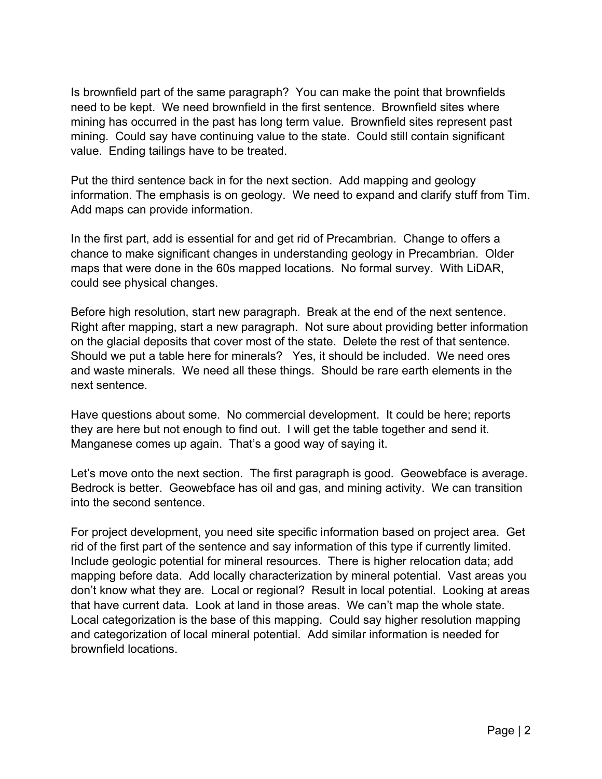Is brownfield part of the same paragraph? You can make the point that brownfields need to be kept. We need brownfield in the first sentence. Brownfield sites where mining has occurred in the past has long term value. Brownfield sites represent past mining. Could say have continuing value to the state. Could still contain significant value. Ending tailings have to be treated.

Put the third sentence back in for the next section. Add mapping and geology information. The emphasis is on geology. We need to expand and clarify stuff from Tim. Add maps can provide information.

In the first part, add is essential for and get rid of Precambrian. Change to offers a chance to make significant changes in understanding geology in Precambrian. Older maps that were done in the 60s mapped locations. No formal survey. With LiDAR, could see physical changes.

Before high resolution, start new paragraph. Break at the end of the next sentence. Right after mapping, start a new paragraph. Not sure about providing better information on the glacial deposits that cover most of the state. Delete the rest of that sentence. Should we put a table here for minerals? Yes, it should be included. We need ores and waste minerals. We need all these things. Should be rare earth elements in the next sentence.

Have questions about some. No commercial development. It could be here; reports they are here but not enough to find out. I will get the table together and send it. Manganese comes up again. That's a good way of saying it.

Let's move onto the next section. The first paragraph is good. Geowebface is average. Bedrock is better. Geowebface has oil and gas, and mining activity. We can transition into the second sentence.

For project development, you need site specific information based on project area. Get rid of the first part of the sentence and say information of this type if currently limited. Include geologic potential for mineral resources. There is higher relocation data; add mapping before data. Add locally characterization by mineral potential. Vast areas you don't know what they are. Local or regional? Result in local potential. Looking at areas that have current data. Look at land in those areas. We can't map the whole state. Local categorization is the base of this mapping. Could say higher resolution mapping and categorization of local mineral potential. Add similar information is needed for brownfield locations.